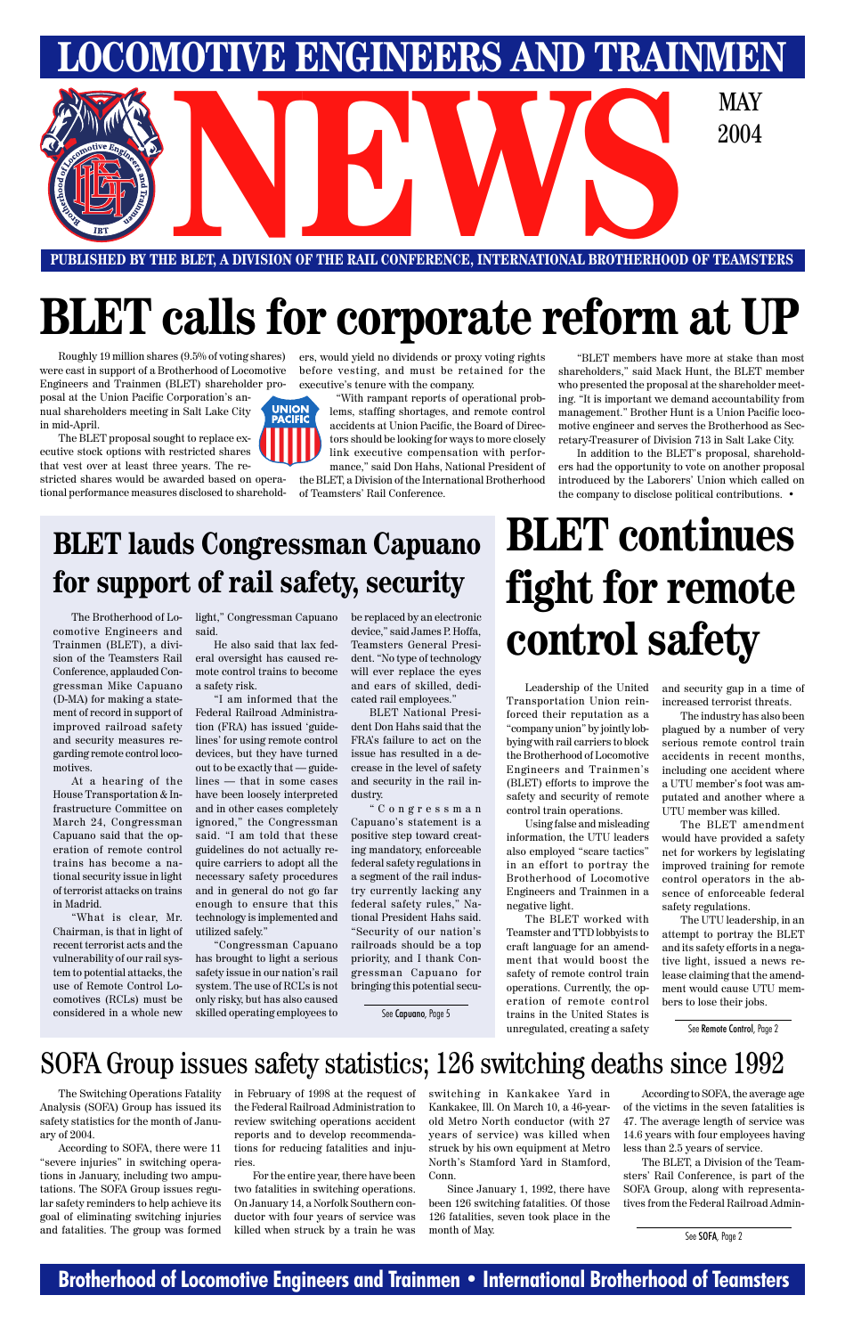### **Brotherhood of Locomotive Engineers and Trainmen • International Brotherhood of Teamsters**



**PUBLISHED BY THE BLET, A DIVISION OF THE RAIL CONFERENCE, INTERNATIONAL BROTHERHOOD OF TEAMSTERS**

Roughly 19 million shares (9.5% of voting shares) were cast in support of a Brotherhood of Locomotive Engineers and Trainmen (BLET) shareholder pro-

posal at the Union Pacific Corporation's annual shareholders meeting in Salt Lake City in mid-April.

The BLET proposal sought to replace executive stock options with restricted shares that vest over at least three years. The re-

stricted shares would be awarded based on operational performance measures disclosed to shareholders, would yield no dividends or proxy voting rights before vesting, and must be retained for the executive's tenure with the company.

"With rampant reports of operational prob-**UNION<br>PACIFIC** lems, staffing shortages, and remote control accidents at Union Pacific, the Board of Directors should be looking for ways to more closely link executive compensation with performance," said Don Hahs, National President of

the BLET, a Division of the International Brotherhood of Teamsters' Rail Conference.

"BLET members have more at stake than most shareholders," said Mack Hunt, the BLET member who presented the proposal at the shareholder meeting. "It is important we demand accountability from management." Brother Hunt is a Union Pacific locomotive engineer and serves the Brotherhood as Secretary-Treasurer of Division 713 in Salt Lake City.

In addition to the BLET's proposal, shareholders had the opportunity to vote on another proposal introduced by the Laborers' Union which called on the company to disclose political contributions. •

# **BLET calls for corporate reform at UP**

## **BLET lauds Congressman Capuano for support of rail safety, security**

The Brotherhood of Locomotive Engineers and Trainmen (BLET), a division of the Teamsters Rail Conference, applauded Congressman Mike Capuano (D-MA) for making a statement of record in support of improved railroad safety and security measures regarding remote control locomotives.

At a hearing of the House Transportation & Infrastructure Committee on March 24, Congressman Capuano said that the operation of remote control trains has become a national security issue in light of terrorist attacks on trains in Madrid.

"What is clear, Mr. Chairman, is that in light of recent terrorist acts and the vulnerability of our rail system to potential attacks, the use of Remote Control Locomotives (RCLs) must be considered in a whole new light," Congressman Capuano said.

He also said that lax federal oversight has caused remote control trains to become a safety risk.

"I am informed that the Federal Railroad Administration (FRA) has issued 'guidelines' for using remote control devices, but they have turned out to be exactly that — guidelines — that in some cases have been loosely interpreted and in other cases completely ignored," the Congressman said. "I am told that these guidelines do not actually require carriers to adopt all the necessary safety procedures and in general do not go far enough to ensure that this technology is implemented and utilized safely."

"Congressman Capuano has brought to light a serious safety issue in our nation's rail system. The use of RCL's is not only risky, but has also caused skilled operating employees to

be replaced by an electronic device," said James P. Hoffa, Teamsters General President. "No type of technology will ever replace the eyes and ears of skilled, dedicated rail employees."

BLET National President Don Hahs said that the FRA's failure to act on the issue has resulted in a decrease in the level of safety and security in the rail industry.

"Congressman Capuano's statement is a positive step toward creating mandatory, enforceable federal safety regulations in a segment of the rail industry currently lacking any federal safety rules," National President Hahs said. "Security of our nation's railroads should be a top priority, and I thank Congressman Capuano for

bringing this potential secu-

# **BLET continues fight for remote control safety**

Leadership of the United Transportation Union reinforced their reputation as a "company union" by jointly lobbying with rail carriers to block the Brotherhood of Locomotive Engineers and Trainmen's (BLET) efforts to improve the safety and security of remote control train operations.

Using false and misleading information, the UTU leaders also employed "scare tactics" in an effort to portray the Brotherhood of Locomotive Engineers and Trainmen in a negative light.

The BLET worked with Teamster and TTD lobbyists to craft language for an amendment that would boost the safety of remote control train operations. Currently, the operation of remote control trains in the United States is unregulated, creating a safety

and security gap in a time of increased terrorist threats.

The industry has also been plagued by a number of very serious remote control train accidents in recent months, including one accident where a UTU member's foot was amputated and another where a UTU member was killed.

The BLET amendment would have provided a safety net for workers by legislating improved training for remote control operators in the absence of enforceable federal safety regulations.

The UTU leadership, in an attempt to portray the BLET and its safety efforts in a negative light, issued a news release claiming that the amendment would cause UTU members to lose their jobs.

The Switching Operations Fatality Analysis (SOFA) Group has issued its safety statistics for the month of January of 2004.

According to SOFA, there were 11 "severe injuries" in switching operations in January, including two amputations. The SOFA Group issues regular safety reminders to help achieve its goal of eliminating switching injuries and fatalities. The group was formed in February of 1998 at the request of the Federal Railroad Administration to review switching operations accident reports and to develop recommendations for reducing fatalities and injuries.

For the entire year, there have been two fatalities in switching operations. On January 14, a Norfolk Southern conductor with four years of service was killed when struck by a train he was switching in Kankakee Yard in Kankakee, Ill. On March 10, a 46-yearold Metro North conductor (with 27 years of service) was killed when struck by his own equipment at Metro North's Stamford Yard in Stamford, Conn.

Since January 1, 1992, there have been 126 switching fatalities. Of those 126 fatalities, seven took place in the month of May.

According to SOFA, the average age of the victims in the seven fatalities is 47. The average length of service was 14.6 years with four employees having less than 2.5 years of service.

The BLET, a Division of the Teamsters' Rail Conference, is part of the SOFA Group, along with representatives from the Federal Railroad Admin-

### SOFA Group issues safety statistics; 126 switching deaths since 1992

See SOFA, Page 2

See Capuano, Page 5

See Remote Control, Page 2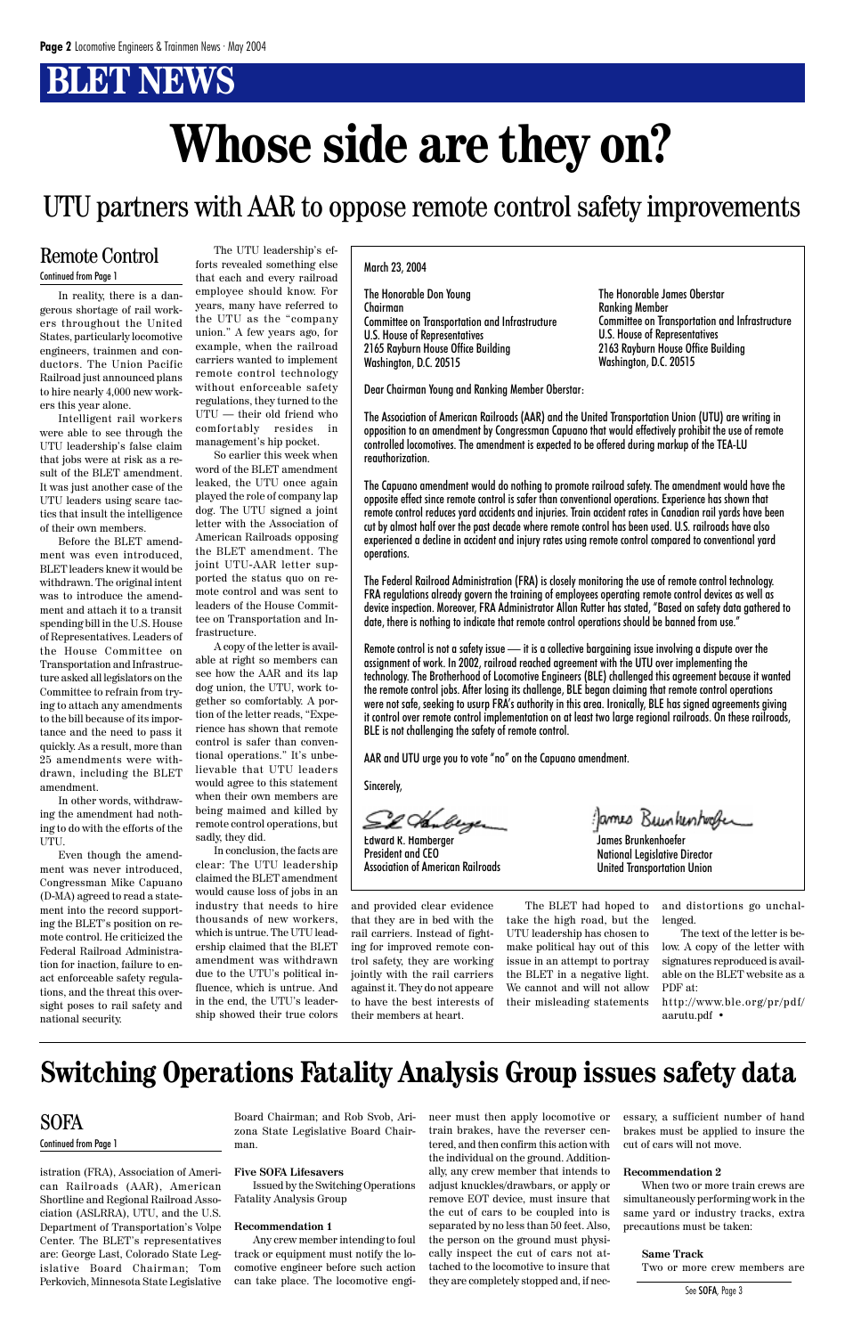# **BLET NEWS**

In reality, there is a dangerous shortage of rail workers throughout the United States, particularly locomotive engineers, trainmen and conductors. The Union Pacific Railroad just announced plans to hire nearly 4,000 new workers this year alone.

Intelligent rail workers were able to see through the UTU leadership's false claim that jobs were at risk as a result of the BLET amendment. It was just another case of the UTU leaders using scare tactics that insult the intelligence of their own members.

Before the BLET amendment was even introduced, BLET leaders knew it would be withdrawn. The original intent was to introduce the amendment and attach it to a transit spending bill in the U.S. House of Representatives. Leaders of the House Committee on Transportation and Infrastructure asked all legislators on the Committee to refrain from trying to attach any amendments to the bill because of its importance and the need to pass it quickly. As a result, more than 25 amendments were withdrawn, including the BLET amendment.

In other words, withdrawing the amendment had nothing to do with the efforts of the UTU.

Even though the amendment was never introduced, Congressman Mike Capuano (D-MA) agreed to read a statement into the record supporting the BLET's position on remote control. He criticized the Federal Railroad Administration for inaction, failure to enact enforceable safety regula-

tions, and the threat this oversight poses to rail safety and national security.

The UTU leadership's ef-

forts revealed something else To that each and every railroad March 23, 2004<br>
Continued from Page 1 employee should know. For years, many have referred to the UTU as the "company union." A few years ago, for example, when the railroad carriers wanted to implement remote control technology without enforceable safety regulations, they turned to the UTU — their old friend who comfortably resides in management's hip pocket.

> So earlier this week when word of the BLET amendment leaked, the UTU once again played the role of company lap dog. The UTU signed a joint letter with the Association of American Railroads opposing the BLET amendment. The joint UTU-AAR letter supported the status quo on remote control and was sent to leaders of the House Committee on Transportation and Infrastructure.

> A copy of the letter is available at right so members can see how the AAR and its lap dog union, the UTU, work together so comfortably. A portion of the letter reads, "Experience has shown that remote control is safer than conventional operations." It's unbelievable that UTU leaders would agree to this statement when their own members are being maimed and killed by remote control operations, but sadly, they did.

> In conclusion, the facts are clear: The UTU leadership claimed the BLET amendment would cause loss of jobs in an industry that needs to hire thousands of new workers, which is untrue. The UTU leadership claimed that the BLET amendment was withdrawn due to the UTU's political influence, which is untrue. And in the end, the UTU's leadership showed their true colors

#### Remote Control

The Honorable Don Young Chairman Committee on Transportation and Infrastructure U.S. House of Representatives 2165 Rayburn House Office Building Washington, D.C. 20515

Dear Chairman Young and Ranking Member Oberstar:

The Association of American Railroads (AAR) and the United Transportation Union (UTU) are writing in opposition to an amendment by Congressman Capuano that would effectively prohibit the use of remote controlled locomotives. The amendment is expected to be offered during markup of the TEA-LU reauthorization.

The Capuano amendment would do nothing to promote railroad safety. The amendment would have the opposite effect since remote control is safer than conventional operations. Experience has shown that remote control reduces yard accidents and injuries. Train accident rates in Canadian rail yards have been cut by almost half over the past decade where remote control has been used. U.S. railroads have also experienced a decline in accident and injury rates using remote control compared to conventional yard operations.

The Federal Railroad Administration (FRA) is closely monitoring the use of remote control technology. FRA regulations already govern the training of employees operating remote control devices as well as device inspection. Moreover, FRA Administrator Allan Rutter has stated, "Based on safety data gathered to date, there is nothing to indicate that remote control operations should be banned from use."

Remote control is not a safety issue — it is a collective bargaining issue involving a dispute over the assignment of work. In 2002, railroad reached agreement with the UTU over implementing the technology. The Brotherhood of Locomotive Engineers (BLE) challenged this agreement because it wanted the remote control jobs. After losing its challenge, BLE began claiming that remote control operations were not safe, seeking to usurp FRA's authority in this area. Ironically, BLE has signed agreements giving it control over remote control implementation on at least two large regional railroads. On these railroads, BLE is not challenging the safety of remote control.

AAR and UTU urge you to vote "no" on the Capuano amendment.

Sincerely,

Sil Huberger

Edward R. Hamberger President and CEO Association of American Railroads

James Brunkenhoefer National Legislative Director United Transportation Union

James Bunkenhooker

The Honorable James Oberstar Ranking Member Committee on Transportation and Infrastructure U.S. House of Representatives 2163 Rayburn House Office Building Washington, D.C. 20515

and provided clear evidence that they are in bed with the rail carriers. Instead of fighting for improved remote control safety, they are working jointly with the rail carriers

against it. They do not appeare to have the best interests of their members at heart.

The BLET had hoped to take the high road, but the UTU leadership has chosen to make political hay out of this issue in an attempt to portray the BLET in a negative light. We cannot and will not allow their misleading statements

and distortions go unchallenged.

The text of the letter is below. A copy of the letter with signatures reproduced is available on the BLET website as a

PDF at: http://www.ble.org/pr/pdf/ aarutu.pdf •

### UTU partners with AAR to oppose remote control safety improvements

# **Whose side are they on?**

istration (FRA), Association of American Railroads (AAR), American Shortline and Regional Railroad Association (ASLRRA), UTU, and the U.S. Department of Transportation's Volpe Center. The BLET's representatives are: George Last, Colorado State Legislative Board Chairman; Tom Perkovich, Minnesota State Legislative

Board Chairman; and Rob Svob, Arizona State Legislative Board Chairman.

#### **Five SOFA Lifesavers**

Issued by the Switching Operations Fatality Analysis Group

#### **Recommendation 1**

Any crew member intending to foul track or equipment must notify the locomotive engineer before such action can take place. The locomotive engi-

#### SOFA

#### Continued from Page 1

## **Switching Operations Fatality Analysis Group issues safety data**

neer must then apply locomotive or train brakes, have the reverser centered, and then confirm this action with the individual on the ground. Additionally, any crew member that intends to adjust knuckles/drawbars, or apply or remove EOT device, must insure that the cut of cars to be coupled into is separated by no less than 50 feet. Also, the person on the ground must physically inspect the cut of cars not attached to the locomotive to insure that they are completely stopped and, if necessary, a sufficient number of hand brakes must be applied to insure the cut of cars will not move.

#### **Recommendation 2**

When two or more train crews are simultaneously performing work in the same yard or industry tracks, extra precautions must be taken:

#### **Same Track**

Two or more crew members are

See SOFA, Page 3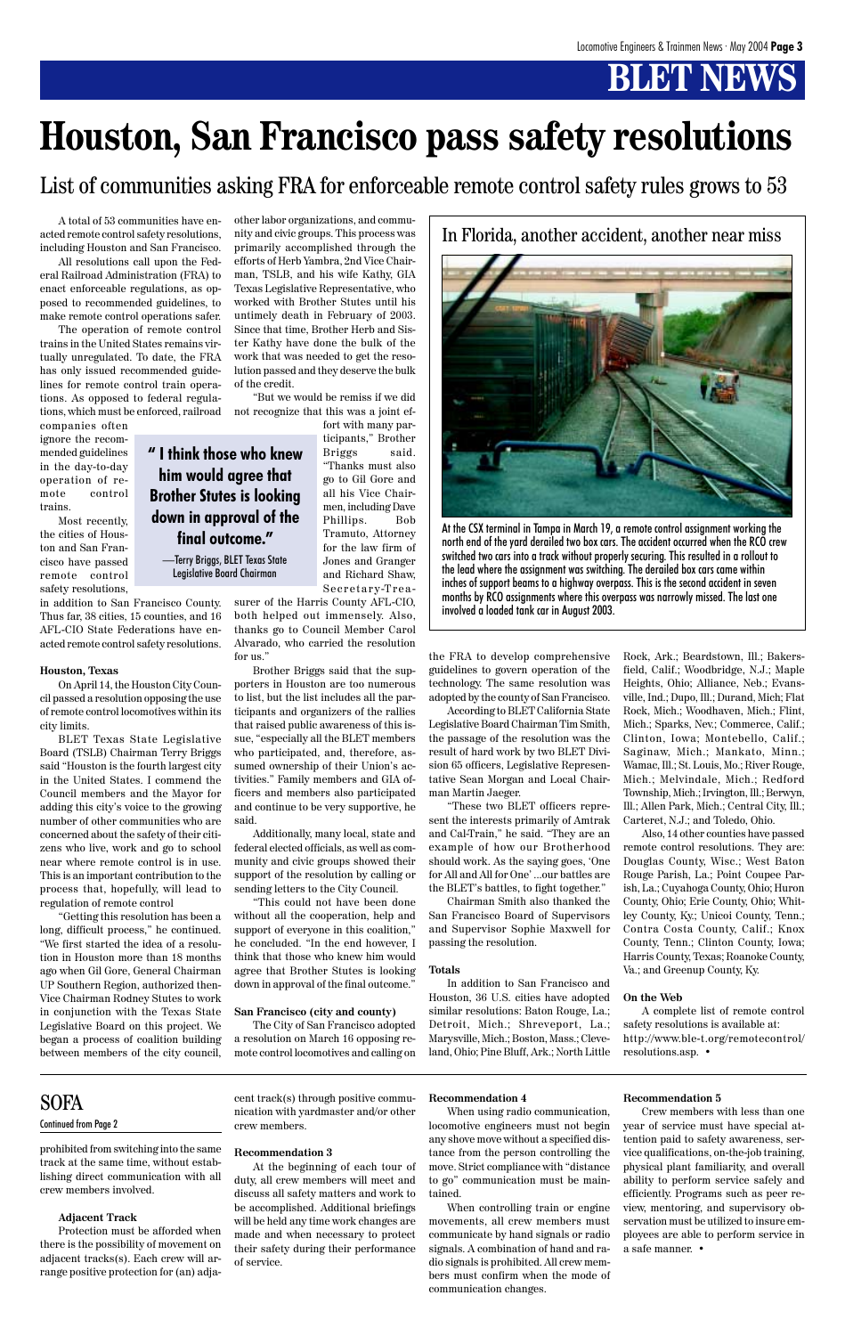# **BLET NEWS**

A total of 53 communities have enacted remote control safety resolutions, including Houston and San Francisco.

All resolutions call upon the Federal Railroad Administration (FRA) to enact enforceable regulations, as opposed to recommended guidelines, to make remote control operations safer.

The operation of remote control trains in the United States remains virtually unregulated. To date, the FRA has only issued recommended guidelines for remote control train operations. As opposed to federal regulations, which must be enforced, railroad

companies often ignore the recommended guidelines in the day-to-day operation of remote control trains.

Most recently, the cities of Houston and San Francisco have passed remote control safety resolutions,

in addition to San Francisco County. Thus far, 38 cities, 15 counties, and 16 AFL-CIO State Federations have enacted remote control safety resolutions.

#### **Houston, Texas**

On April 14, the Houston City Council passed a resolution opposing the use of remote control locomotives within its city limits.

BLET Texas State Legislative Board (TSLB) Chairman Terry Briggs said "Houston is the fourth largest city in the United States. I commend the Council members and the Mayor for adding this city's voice to the growing number of other communities who are concerned about the safety of their citizens who live, work and go to school near where remote control is in use. This is an important contribution to the process that, hopefully, will lead to regulation of remote control

"Getting this resolution has been a long, difficult process," he continued. "We first started the idea of a resolution in Houston more than 18 months ago when Gil Gore, General Chairman UP Southern Region, authorized then-Vice Chairman Rodney Stutes to work in conjunction with the Texas State Legislative Board on this project. We began a process of coalition building between members of the city council,

other labor organizations, and community and civic groups. This process was primarily accomplished through the efforts of Herb Yambra, 2nd Vice Chairman, TSLB, and his wife Kathy, GIA Texas Legislative Representative, who worked with Brother Stutes until his untimely death in February of 2003. Since that time, Brother Herb and Sister Kathy have done the bulk of the work that was needed to get the resolution passed and they deserve the bulk of the credit.

"But we would be remiss if we did not recognize that this was a joint ef-

> fort with many participants," Brother Briggs said. "Thanks must also go to Gil Gore and all his Vice Chairmen, including Dave Phillips. Bob Tramuto, Attorney for the law firm of Jones and Granger and Richard Shaw, Secretary-Trea-

surer of the Harris County AFL-CIO, both helped out immensely. Also, thanks go to Council Member Carol Alvarado, who carried the resolution for us."

Brother Briggs said that the supporters in Houston are too numerous to list, but the list includes all the participants and organizers of the rallies that raised public awareness of this issue, "especially all the BLET members who participated, and, therefore, assumed ownership of their Union's activities." Family members and GIA officers and members also participated and continue to be very supportive, he said.

Additionally, many local, state and federal elected officials, as well as community and civic groups showed their support of the resolution by calling or sending letters to the City Council.

"This could not have been done without all the cooperation, help and support of everyone in this coalition," he concluded. "In the end however, I think that those who knew him would agree that Brother Stutes is looking

down in approval of the final outcome."

#### **San Francisco (city and county)**

The City of San Francisco adopted a resolution on March 16 opposing remote control locomotives and calling on

the FRA to develop comprehensive guidelines to govern operation of the technology. The same resolution was adopted by the county of San Francisco.

According to BLET California State Legislative Board Chairman Tim Smith, the passage of the resolution was the result of hard work by two BLET Division 65 officers, Legislative Representative Sean Morgan and Local Chairman Martin Jaeger.

"These two BLET officers represent the interests primarily of Amtrak and Cal-Train," he said. "They are an example of how our Brotherhood should work. As the saying goes, 'One for All and All for One' ...our battles are the BLET's battles, to fight together."

Chairman Smith also thanked the San Francisco Board of Supervisors and Supervisor Sophie Maxwell for passing the resolution.

#### **Totals**

In addition to San Francisco and Houston, 36 U.S. cities have adopted similar resolutions: Baton Rouge, La.; Detroit, Mich.; Shreveport, La.; Marysville, Mich.; Boston, Mass.; Cleveland, Ohio; Pine Bluff, Ark.; North Little

Rock, Ark.; Beardstown, Ill.; Bakersfield, Calif.; Woodbridge, N.J.; Maple Heights, Ohio; Alliance, Neb.; Evansville, Ind.; Dupo, Ill.; Durand, Mich; Flat Rock, Mich.; Woodhaven, Mich.; Flint, Mich.; Sparks, Nev.; Commerce, Calif.; Clinton, Iowa; Montebello, Calif.; Saginaw, Mich.; Mankato, Minn.; Wamac, Ill.; St. Louis, Mo.; River Rouge, Mich.; Melvindale, Mich.; Redford Township, Mich.; Irvington, Ill.; Berwyn, Ill.; Allen Park, Mich.; Central City, Ill.; Carteret, N.J.; and Toledo, Ohio.

Also, 14 other counties have passed remote control resolutions. They are: Douglas County, Wisc.; West Baton Rouge Parish, La.; Point Coupee Parish, La.; Cuyahoga County, Ohio; Huron County, Ohio; Erie County, Ohio; Whitley County, Ky.; Unicoi County, Tenn.; Contra Costa County, Calif.; Knox County, Tenn.; Clinton County, Iowa; Harris County, Texas; Roanoke County, Va.; and Greenup County, Ky.

#### **On the Web**

A complete list of remote control safety resolutions is available at: http://www.ble-t.org/remotecontrol/ resolutions.asp. •

#### **SOFA**

# **Houston, San Francisco pass safety resolutions**

List of communities asking FRA for enforceable remote control safety rules grows to 53

In Florida, another accident, another near miss



At the CSX terminal in Tampa in March 19, a remote control assignment working the north end of the yard derailed two box cars. The accident occurred when the RCO crew switched two cars into a track without properly securing. This resulted in a rollout to the lead where the assignment was switching. The derailed box cars came within inches of support beams to a highway overpass. This is the second accident in seven months by RCO assignments where this overpass was narrowly missed. The last one involved a loaded tank car in August 2003.

**" I think those who knew him would agree that Brother Stutes is looking down in approval of the final outcome."**

—Terry Briggs, BLET Texas State Legislative Board Chairman

prohibited from switching into the same track at the same time, without establishing direct communication with all crew members involved.

#### **Adjacent Track**

Protection must be afforded when there is the possibility of movement on adjacent tracks(s). Each crew will arrange positive protection for (an) adjacent track(s) through positive communication with yardmaster and/or other crew members.

#### **Recommendation 3**

At the beginning of each tour of duty, all crew members will meet and discuss all safety matters and work to be accomplished. Additional briefings will be held any time work changes are made and when necessary to protect their safety during their performance of service.

#### **Recommendation 4**

When using radio communication, locomotive engineers must not begin any shove move without a specified distance from the person controlling the move. Strict compliance with "distance to go" communication must be maintained.

When controlling train or engine movements, all crew members must communicate by hand signals or radio signals. A combination of hand and radio signals is prohibited. All crew members must confirm when the mode of communication changes.

#### **Recommendation 5**

Crew members with less than one year of service must have special attention paid to safety awareness, service qualifications, on-the-job training, physical plant familiarity, and overall ability to perform service safely and efficiently. Programs such as peer review, mentoring, and supervisory observation must be utilized to insure employees are able to perform service in a safe manner. •

#### Continued from Page 2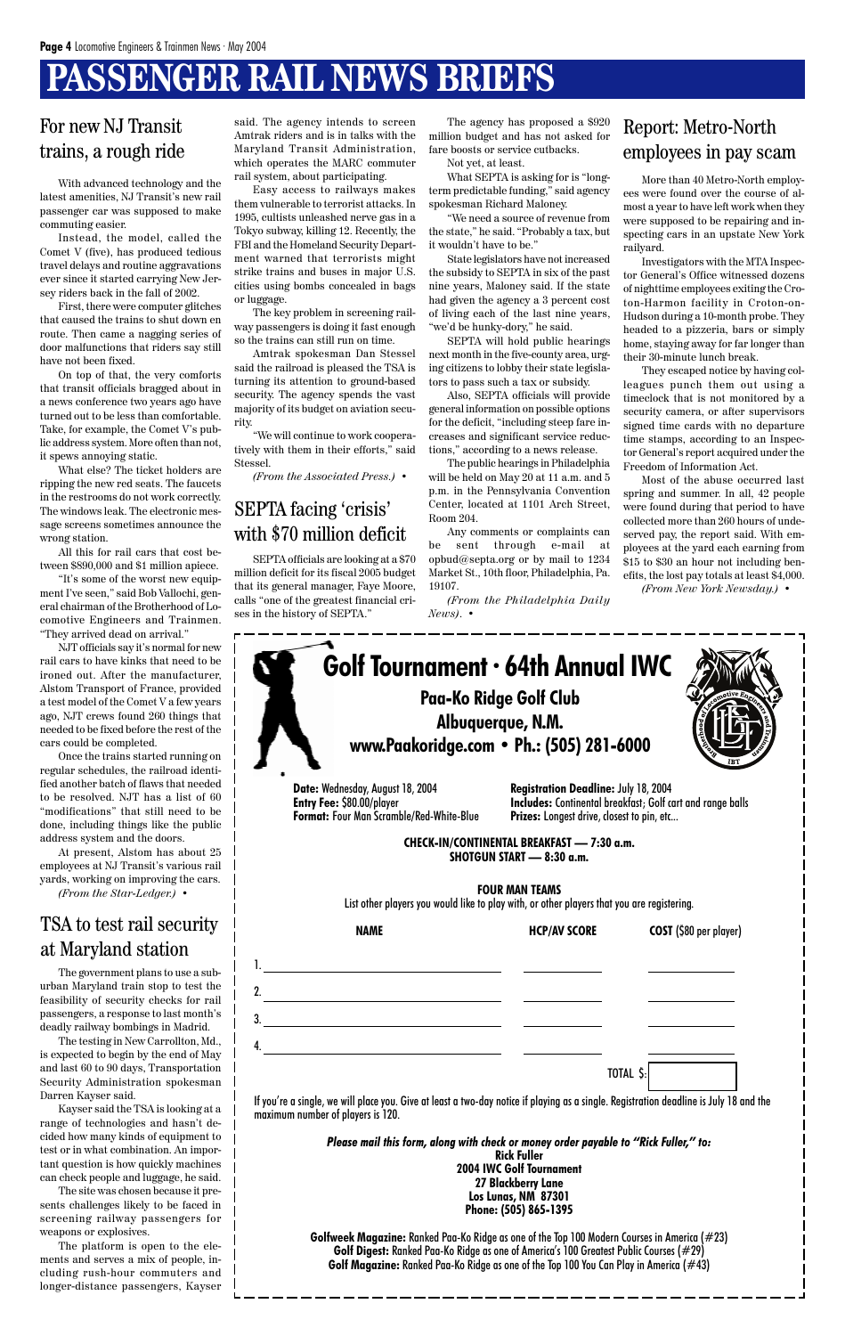# **PASSENGER RAIL NEWS BRIEFS**

**Date:** Wednesday, August 18, 2004 **Entry Fee:** \$80.00/player **Format:** Four Man Scramble/Red-White-Blue

> **CHECK-IN/CONTINENTAL BREAKFAST — 7:30 a.m. SHOTGUN START — 8:30 a.m.**

#### **FOUR MAN TEAMS**

List other players you would like to play with, or other players that you are registering.

1.

2.

3.

4.

**NAME HCP/AV SCORE COST** (\$80 per player)

|                                                                                                                                                                             | Please mail this form, along with check or money order payable to "Rick Fuller," to:<br><b>Rick Fuller</b><br><b>2004 IWC Golf Tournament</b><br><b>27 Blackberry Lane</b> |  |
|-----------------------------------------------------------------------------------------------------------------------------------------------------------------------------|----------------------------------------------------------------------------------------------------------------------------------------------------------------------------|--|
| If you're a single, we will place you. Give at least a two-day notice if playing as a single. Registration deadline is July 18 and the<br>maximum number of players is 120. |                                                                                                                                                                            |  |
|                                                                                                                                                                             | TOTAL \$:                                                                                                                                                                  |  |
| 4.                                                                                                                                                                          |                                                                                                                                                                            |  |
| 3.                                                                                                                                                                          |                                                                                                                                                                            |  |
|                                                                                                                                                                             |                                                                                                                                                                            |  |

**Los Lunas, NM 87301 Phone: (505) 865-1395**

**Golfweek Magazine:** Ranked Paa-Ko Ridge as one of the Top 100 Modern Courses in America (#23) **Golf Digest:** Ranked Paa-Ko Ridge as one of America's 100 Greatest Public Courses (#29) **Golf Magazine:** Ranked Paa-Ko Ridge as one of the Top 100 You Can Play in America (#43)



**Registration Deadline:** July 18, 2004 **Includes:** Continental breakfast; Golf cart and range balls **Prizes:** Longest drive, closest to pin, etc...

### For new NJ Transit trains, a rough ride

With advanced technology and the latest amenities, NJ Transit's new rail passenger car was supposed to make commuting easier.

Instead, the model, called the Comet V (five), has produced tedious travel delays and routine aggravations ever since it started carrying New Jersey riders back in the fall of 2002.

First, there were computer glitches that caused the trains to shut down en route. Then came a nagging series of door malfunctions that riders say still have not been fixed.

On top of that, the very comforts that transit officials bragged about in a news conference two years ago have turned out to be less than comfortable. Take, for example, the Comet V's public address system. More often than not, it spews annoying static.

What else? The ticket holders are ripping the new red seats. The faucets in the restrooms do not work correctly. The windows leak. The electronic message screens sometimes announce the wrong station.

All this for rail cars that cost between \$890,000 and \$1 million apiece.

"It's some of the worst new equipment I've seen," said Bob Vallochi, general chairman of the Brotherhood of Locomotive Engineers and Trainmen. "They arrived dead on arrival."

NJT officials say it's normal for new rail cars to have kinks that need to be ironed out. After the manufacturer, Alstom Transport of France, provided a test model of the Comet V a few years ago, NJT crews found 260 things that needed to be fixed before the rest of the cars could be completed.

Once the trains started running on regular schedules, the railroad identified another batch of flaws that needed to be resolved. NJT has a list of 60 "modifications" that still need to be done, including things like the public address system and the doors.

At present, Alstom has about 25 employees at NJ Transit's various rail yards, working on improving the cars. *(From the Star-Ledger.)* •

### TSA to test rail security at Maryland station

The government plans to use a sub-

urban Maryland train stop to test the feasibility of security checks for rail passengers, a response to last month's deadly railway bombings in Madrid.

The testing in New Carrollton, Md., is expected to begin by the end of May and last 60 to 90 days, Transportation Security Administration spokesman Darren Kayser said.

Kayser said the TSA is looking at a range of technologies and hasn't decided how many kinds of equipment to test or in what combination. An important question is how quickly machines can check people and luggage, he said.

The site was chosen because it presents challenges likely to be faced in screening railway passengers for weapons or explosives.

The platform is open to the elements and serves a mix of people, including rush-hour commuters and longer-distance passengers, Kayser said. The agency intends to screen Amtrak riders and is in talks with the Maryland Transit Administration, which operates the MARC commuter rail system, about participating.

Easy access to railways makes them vulnerable to terrorist attacks. In 1995, cultists unleashed nerve gas in a Tokyo subway, killing 12. Recently, the FBI and the Homeland Security Department warned that terrorists might strike trains and buses in major U.S. cities using bombs concealed in bags or luggage.

The key problem in screening railway passengers is doing it fast enough so the trains can still run on time.

Amtrak spokesman Dan Stessel said the railroad is pleased the TSA is turning its attention to ground-based security. The agency spends the vast majority of its budget on aviation security.

"We will continue to work cooperatively with them in their efforts," said Stessel.

*(From the Associated Press.)* •

SEPTA officials are looking at a \$70 million deficit for its fiscal 2005 budget that its general manager, Faye Moore, calls "one of the greatest financial crises in the history of SEPTA."

### SEPTA facing 'crisis' with \$70 million deficit

The agency has proposed a \$920 million budget and has not asked for fare boosts or service cutbacks.

Not yet, at least.

What SEPTA is asking for is "longterm predictable funding," said agency spokesman Richard Maloney.

"We need a source of revenue from the state," he said. "Probably a tax, but it wouldn't have to be."

State legislators have not increased the subsidy to SEPTA in six of the past nine years, Maloney said. If the state had given the agency a 3 percent cost of living each of the last nine years, "we'd be hunky-dory," he said.

SEPTA will hold public hearings next month in the five-county area, urging citizens to lobby their state legislators to pass such a tax or subsidy.

Also, SEPTA officials will provide general information on possible options for the deficit, "including steep fare increases and significant service reductions," according to a news release.

The public hearings in Philadelphia will be held on May 20 at 11 a.m. and 5 p.m. in the Pennsylvania Convention Center, located at 1101 Arch Street, Room 204.

Any comments or complaints can be sent through e-mail at opbud@septa.org or by mail to 1234 Market St., 10th floor, Philadelphia, Pa. 19107.

*(From the Philadelphia Daily News)*. •

### Report: Metro-North employees in pay scam

More than 40 Metro-North employees were found over the course of almost a year to have left work when they were supposed to be repairing and inspecting cars in an upstate New York railyard.

Investigators with the MTA Inspector General's Office witnessed dozens of nighttime employees exiting the Croton-Harmon facility in Croton-on-Hudson during a 10-month probe. They headed to a pizzeria, bars or simply home, staying away for far longer than their 30-minute lunch break.

They escaped notice by having colleagues punch them out using a timeclock that is not monitored by a security camera, or after supervisors signed time cards with no departure time stamps, according to an Inspector General's report acquired under the Freedom of Information Act.

Most of the abuse occurred last spring and summer. In all, 42 people were found during that period to have collected more than 260 hours of undeserved pay, the report said. With employees at the yard each earning from \$15 to \$30 an hour not including benefits, the lost pay totals at least \$4,000.

*(From New York Newsday.)* •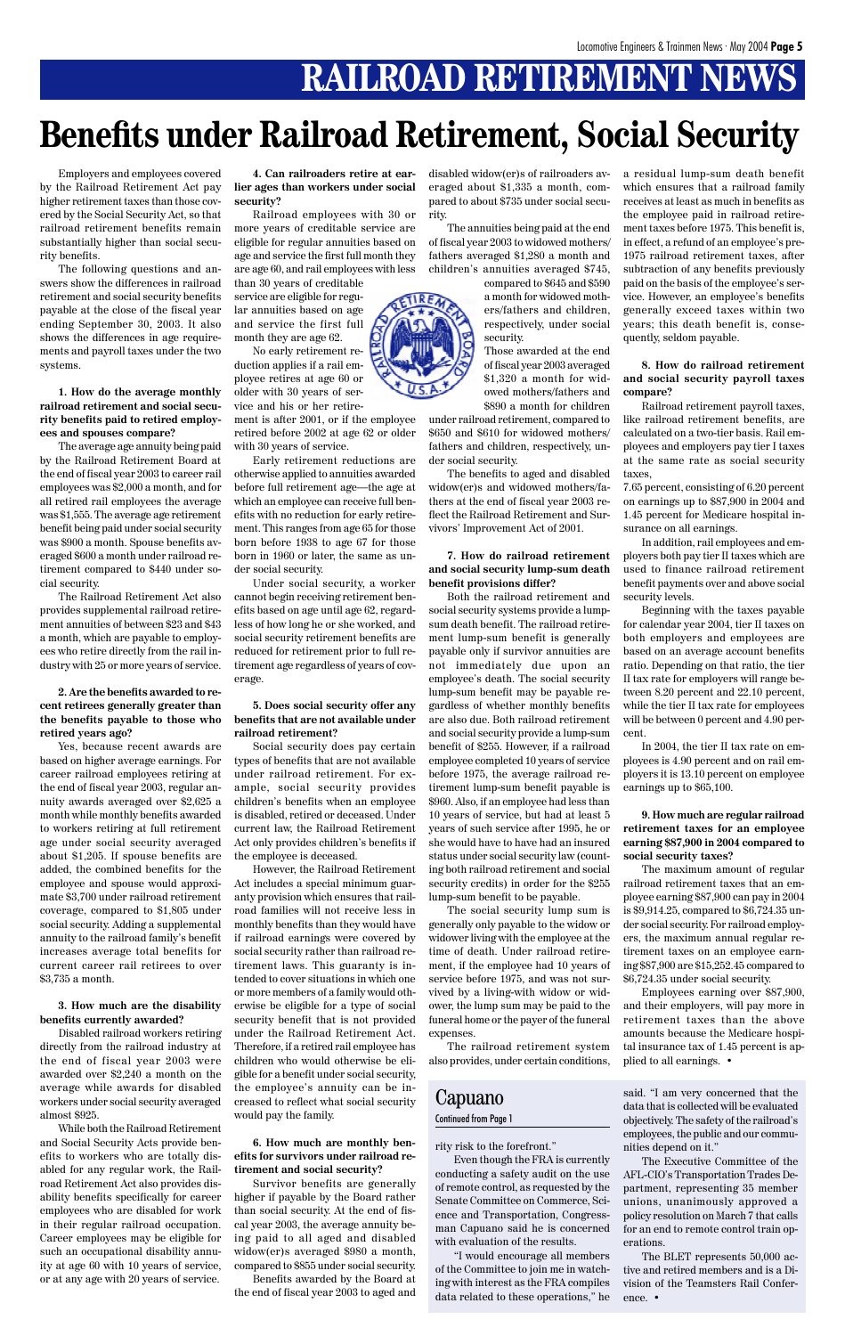# **RAILROAD RETIREMENT NEWS**

Employers and employees covered by the Railroad Retirement Act pay higher retirement taxes than those covered by the Social Security Act, so that railroad retirement benefits remain substantially higher than social security benefits.

The following questions and answers show the differences in railroad retirement and social security benefits payable at the close of the fiscal year ending September 30, 2003. It also shows the differences in age requirements and payroll taxes under the two systems.

**1. How do the average monthly railroad retirement and social security benefits paid to retired employees and spouses compare?**

The average age annuity being paid by the Railroad Retirement Board at the end of fiscal year 2003 to career rail employees was \$2,000 a month, and for all retired rail employees the average was \$1,555. The average age retirement benefit being paid under social security was \$900 a month. Spouse benefits averaged \$600 a month under railroad retirement compared to \$440 under social security.

The Railroad Retirement Act also provides supplemental railroad retirement annuities of between \$23 and \$43 a month, which are payable to employees who retire directly from the rail industry with 25 or more years of service.

#### **2. Are the benefits awarded to recent retirees generally greater than the benefits payable to those who retired years ago?**

Yes, because recent awards are based on higher average earnings. For career railroad employees retiring at the end of fiscal year 2003, regular annuity awards averaged over \$2,625 a month while monthly benefits awarded to workers retiring at full retirement age under social security averaged about \$1,205. If spouse benefits are added, the combined benefits for the employee and spouse would approximate \$3,700 under railroad retirement coverage, compared to \$1,805 under social security. Adding a supplemental annuity to the railroad family's benefit increases average total benefits for current career rail retirees to over \$3,735 a month.

**3. How much are the disability benefits currently awarded?**

Disabled railroad workers retiring directly from the railroad industry at the end of fiscal year 2003 were awarded over \$2,240 a month on the average while awards for disabled workers under social security averaged almost \$925.

While both the Railroad Retirement and Social Security Acts provide benefits to workers who are totally disabled for any regular work, the Railroad Retirement Act also provides disability benefits specifically for career employees who are disabled for work in their regular railroad occupation. Career employees may be eligible for such an occupational disability annuity at age 60 with 10 years of service, or at any age with 20 years of service.

**4. Can railroaders retire at earlier ages than workers under social security?**

Railroad employees with 30 or more years of creditable service are eligible for regular annuities based on age and service the first full month they are age 60, and rail employees with less than 30 years of creditable

service are eligible for regular annuities based on age and service the first full month they are age 62.

No early retirement reduction applies if a rail employee retires at age 60 or older with 30 years of service and his or her retirement is after 2001, or if the employee

retired before 2002 at age 62 or older with 30 years of service. Early retirement reductions are

otherwise applied to annuities awarded before full retirement age—the age at which an employee can receive full benefits with no reduction for early retirement. This ranges from age 65 for those born before 1938 to age 67 for those born in 1960 or later, the same as under social security.

Under social security, a worker cannot begin receiving retirement benefits based on age until age 62, regardless of how long he or she worked, and social security retirement benefits are reduced for retirement prior to full retirement age regardless of years of coverage.

#### **5. Does social security offer any benefits that are not available under railroad retirement?**

Social security does pay certain types of benefits that are not available under railroad retirement. For example, social security provides children's benefits when an employee is disabled, retired or deceased. Under current law, the Railroad Retirement Act only provides children's benefits if the employee is deceased.

However, the Railroad Retirement Act includes a special minimum guaranty provision which ensures that railroad families will not receive less in monthly benefits than they would have if railroad earnings were covered by social security rather than railroad retirement laws. This guaranty is intended to cover situations in which one or more members of a family would otherwise be eligible for a type of social security benefit that is not provided under the Railroad Retirement Act. Therefore, if a retired rail employee has children who would otherwise be eligible for a benefit under social security, the employee's annuity can be increased to reflect what social security

would pay the family.

**6. How much are monthly benefits for survivors under railroad retirement and social security?**

Survivor benefits are generally higher if payable by the Board rather than social security. At the end of fiscal year 2003, the average annuity being paid to all aged and disabled widow(er)s averaged \$980 a month, compared to \$855 under social security. Benefits awarded by the Board at the end of fiscal year 2003 to aged and

disabled widow(er)s of railroaders averaged about \$1,335 a month, compared to about \$735 under social security.

The annuities being paid at the end of fiscal year 2003 to widowed mothers/ fathers averaged \$1,280 a month and children's annuities averaged \$745,

> compared to \$645 and \$590 a month for widowed mothers/fathers and children, respectively, under social security.

Those awarded at the end of fiscal year 2003 averaged \$1,320 a month for widowed mothers/fathers and \$890 a month for children

under railroad retirement, compared to \$650 and \$610 for widowed mothers/ fathers and children, respectively, under social security.

The benefits to aged and disabled widow(er)s and widowed mothers/fathers at the end of fiscal year 2003 reflect the Railroad Retirement and Survivors' Improvement Act of 2001.

#### **7. How do railroad retirement and social security lump-sum death benefit provisions differ?**

Both the railroad retirement and social security systems provide a lumpsum death benefit. The railroad retirement lump-sum benefit is generally payable only if survivor annuities are not immediately due upon an employee's death. The social security lump-sum benefit may be payable regardless of whether monthly benefits are also due. Both railroad retirement and social security provide a lump-sum benefit of \$255. However, if a railroad employee completed 10 years of service before 1975, the average railroad retirement lump-sum benefit payable is \$960. Also, if an employee had less than 10 years of service, but had at least 5 years of such service after 1995, he or she would have to have had an insured status under social security law (counting both railroad retirement and social security credits) in order for the \$255 lump-sum benefit to be payable.

The social security lump sum is generally only payable to the widow or widower living with the employee at the time of death. Under railroad retirement, if the employee had 10 years of service before 1975, and was not survived by a living-with widow or widower, the lump sum may be paid to the funeral home or the payer of the funeral expenses.

The railroad retirement system also provides, under certain conditions,

a residual lump-sum death benefit which ensures that a railroad family receives at least as much in benefits as the employee paid in railroad retirement taxes before 1975. This benefit is, in effect, a refund of an employee's pre-1975 railroad retirement taxes, after subtraction of any benefits previously paid on the basis of the employee's service. However, an employee's benefits generally exceed taxes within two years; this death benefit is, consequently, seldom payable.

**8. How do railroad retirement and social security payroll taxes compare?**

Railroad retirement payroll taxes, like railroad retirement benefits, are calculated on a two-tier basis. Rail employees and employers pay tier I taxes at the same rate as social security taxes,

7.65 percent, consisting of 6.20 percent on earnings up to \$87,900 in 2004 and 1.45 percent for Medicare hospital insurance on all earnings.

In addition, rail employees and employers both pay tier II taxes which are used to finance railroad retirement benefit payments over and above social security levels.

Beginning with the taxes payable for calendar year 2004, tier II taxes on both employers and employees are based on an average account benefits ratio. Depending on that ratio, the tier II tax rate for employers will range between 8.20 percent and 22.10 percent, while the tier II tax rate for employees will be between 0 percent and 4.90 percent.

In 2004, the tier II tax rate on employees is 4.90 percent and on rail employers it is 13.10 percent on employee earnings up to \$65,100.

**9. How much are regular railroad retirement taxes for an employee earning \$87,900 in 2004 compared to social security taxes?**

The maximum amount of regular railroad retirement taxes that an employee earning \$87,900 can pay in 2004 is \$9,914.25, compared to \$6,724.35 under social security. For railroad employers, the maximum annual regular retirement taxes on an employee earning \$87,900 are \$15,252.45 compared to \$6,724.35 under social security.



Employees earning over \$87,900, and their employers, will pay more in retirement taxes than the above amounts because the Medicare hospital insurance tax of 1.45 percent is applied to all earnings. •

# **Benefits under Railroad Retirement, Social Security**

#### Capuano Continued from Page 1

#### rity risk to the forefront."

Even though the FRA is currently conducting a safety audit on the use of remote control, as requested by the Senate Committee on Commerce, Science and Transportation, Congressman Capuano said he is concerned with evaluation of the results.

"I would encourage all members of the Committee to join me in watching with interest as the FRA compiles data related to these operations," he

said. "I am very concerned that the data that is collected will be evaluated objectively. The safety of the railroad's employees, the public and our communities depend on it."

The Executive Committee of the AFL-CIO's Transportation Trades Department, representing 35 member unions, unanimously approved a policy resolution on March 7 that calls for an end to remote control train operations.

The BLET represents 50,000 active and retired members and is a Division of the Teamsters Rail Conference. •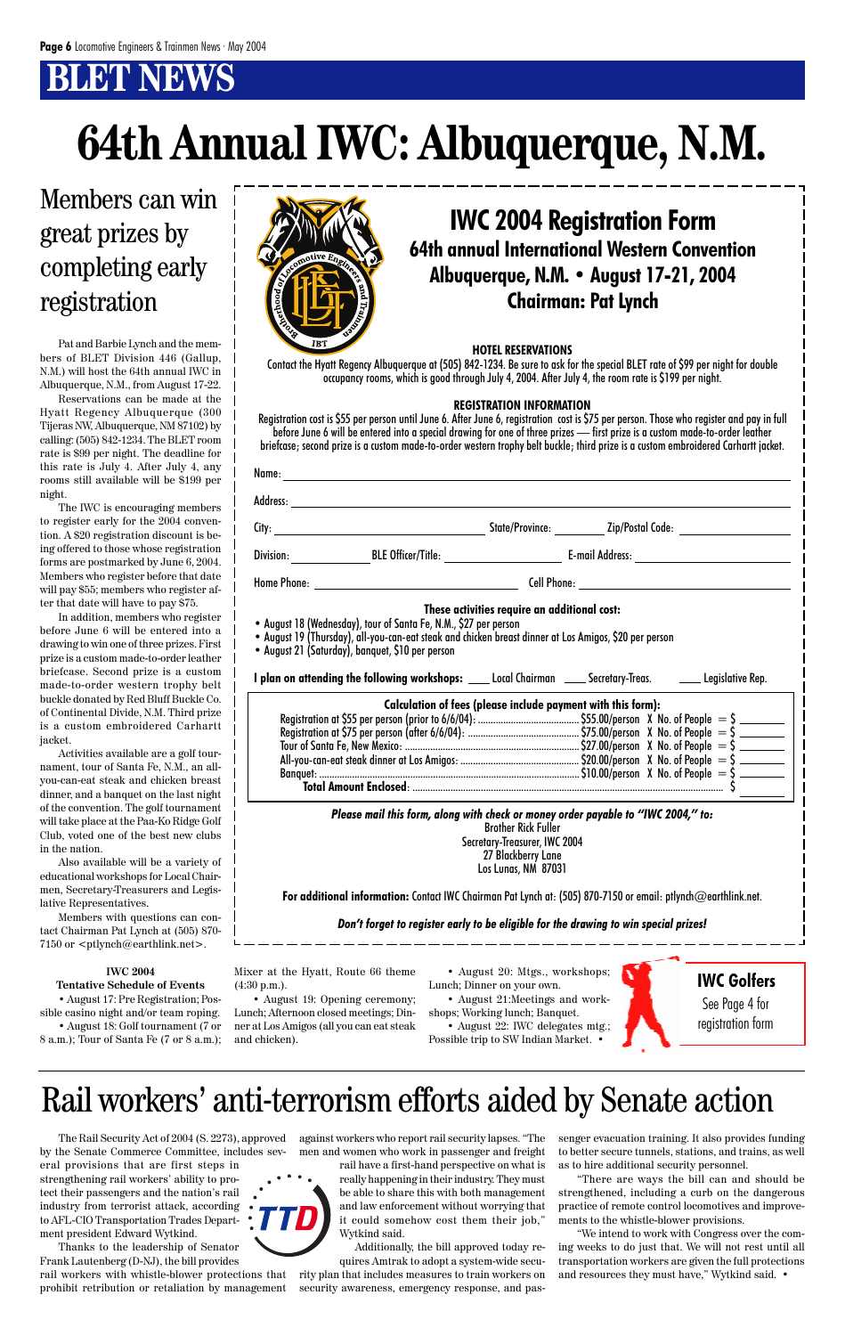# **BT NEWS**

Pat and Barbie Lynch and the members of BLET Division 446 (Gallup, N.M.) will host the 64th annual IWC in Albuquerque, N.M., from August 17-22.

Reservations can be made at the Hyatt Regency Albuquerque (300 Tijeras NW, Albuquerque, NM 87102) by calling: (505) 842-1234. The BLET room rate is \$99 per night. The deadline for this rate is July 4. After July 4, any rooms still available will be \$199 per night.

The IWC is encouraging members to register early for the 2004 convention. A \$20 registration discount is being offered to those whose registration forms are postmarked by June 6, 2004. Members who register before that date will pay \$55; members who register after that date will have to pay \$75.

Members with questions can contact Chairman Pat Lynch at (505) 870- 7150 or  $\n$ ptlynch@earthlink.net>.

In addition, members who register before June 6 will be entered into a drawing to win one of three prizes. First prize is a custom made-to-order leather briefcase. Second prize is a custom made-to-order western trophy belt buckle donated by Red Bluff Buckle Co. of Continental Divide, N.M. Third prize is a custom embroidered Carhartt jacket.

Activities available are a golf tournament, tour of Santa Fe, N.M., an allyou-can-eat steak and chicken breast dinner, and a banquet on the last night of the convention. The golf tournament will take place at the Paa-Ko Ridge Golf Club, voted one of the best new clubs in the nation.

Also available will be a variety of educational workshops for Local Chairmen, Secretary-Treasurers and Legislative Representatives.

**IWC 2004**



#### **Tentative Schedule of Events**

• August 17: Pre Registration; Possible casino night and/or team roping.

• August 18: Golf tournament (7 or 8 a.m.); Tour of Santa Fe (7 or 8 a.m.);

#### **HOTEL RESERVATIONS**

Contact the Hyatt Regency Albuquerque at (505) 842-1234. Be sure to ask for the special BLET rate of \$99 per night for double occupancy rooms, which is good through July 4, 2004. After July 4, the room rate is \$199 per night.

#### **REGISTRATION INFORMATION**

Registration cost is \$55 per person until June 6. After June 6, registration cost is \$75 per person. Those who register and pay in full before June 6 will be entered into a special drawing for one of three prizes — first prize is a custom made-to-order leather briefcase; second prize is a custom made-to-order western trophy belt buckle; third prize is a custom embroidered Carhartt jacket.

| These activities require an additional cost:<br>• August 18 (Wednesday), tour of Santa Fe, N.M., \$27 per person<br>. August 19 (Thursday), all-you-can-eat steak and chicken breast dinner at Los Amigos, \$20 per person<br>• August 21 (Saturday), banquet, \$10 per person |                                                                                                                                                                                               |  |  |  |
|--------------------------------------------------------------------------------------------------------------------------------------------------------------------------------------------------------------------------------------------------------------------------------|-----------------------------------------------------------------------------------------------------------------------------------------------------------------------------------------------|--|--|--|
| I plan on attending the following workshops: ____ Local Chairman _____ Secretary-Treas. _______ Legislative Rep.                                                                                                                                                               |                                                                                                                                                                                               |  |  |  |
|                                                                                                                                                                                                                                                                                | Calculation of fees (please include payment with this form):                                                                                                                                  |  |  |  |
|                                                                                                                                                                                                                                                                                | Please mail this form, along with check or money order payable to "IWC 2004," to:<br><b>Brother Rick Fuller</b><br>Secretary-Treasurer, IWC 2004<br>27 Blackberry Lane<br>Los Lunas, NM 87031 |  |  |  |
|                                                                                                                                                                                                                                                                                | For additional information: Contact IWC Chairman Pat Lynch at: (505) 870-7150 or email: ptlynch@earthlink.net.                                                                                |  |  |  |

#### *Don't forget to register early to be eligible for the drawing to win special prizes!*

### **64th annual International Western Convention Albuquerque, N.M. • August 17-21, 2004 Chairman: Pat Lynch IWC 2004 Registration Form**

Mixer at the Hyatt, Route 66 theme

(4:30 p.m.).

• August 19: Opening ceremony; Lunch; Afternoon closed meetings; Dinner at Los Amigos (all you can eat steak and chicken).

• August 20: Mtgs., workshops;



Lunch; Dinner on your own.

• August 21:Meetings and workshops; Working lunch; Banquet.

• August 22: IWC delegates mtg.; Possible trip to SW Indian Market. •

## Members can win great prizes by completing early registration

# **64th Annual IWC: Albuquerque, N.M.**

**IWC Golfers**

See Page 4 for registration form

by the Senate Commerce Committee, includes several provisions that are first steps in strengthening rail workers' ability to protect their passengers and the nation's rail industry from terrorist attack, according to AFL-CIO Transportation Trades Department president Edward Wytkind.

The Rail Security Act of 2004 (S. 2273), approved against workers who report rail security lapses. "The men and women who work in passenger and freight rail have a first-hand perspective on what is really happening in their industry. They must be able to share this with both management and law enforcement without worrying that it could somehow cost them their job," Wytkind said.

Thanks to the leadership of Senator Frank Lautenberg (D-NJ), the bill provides rail workers with whistle-blower protections that prohibit retribution or retaliation by management

Additionally, the bill approved today requires Amtrak to adopt a system-wide security plan that includes measures to train workers on security awareness, emergency response, and passenger evacuation training. It also provides funding to better secure tunnels, stations, and trains, as well as to hire additional security personnel.

"There are ways the bill can and should be strengthened, including a curb on the dangerous practice of remote control locomotives and improvements to the whistle-blower provisions.

"We intend to work with Congress over the coming weeks to do just that. We will not rest until all transportation workers are given the full protections and resources they must have," Wytkind said. •

## Rail workers' anti-terrorism efforts aided by Senate action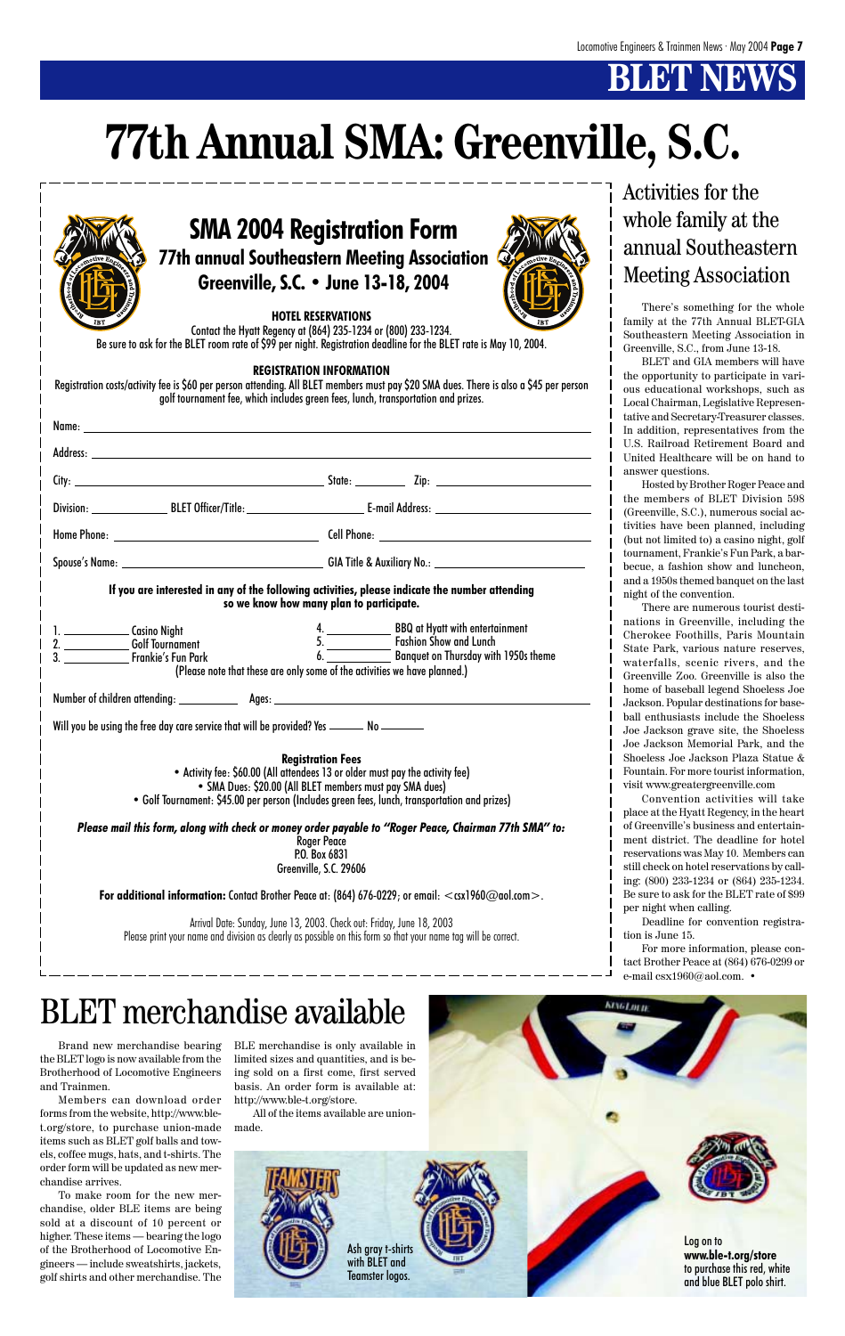# **BLET NEW**

For more information, please contact Brother Peace at (864) 676-0299 or e-mail csx1960@aol.com. •

**KINGLINIE** 

# **77th Annual SMA: Greenville, S.C.**

Brand new merchandise bearing the BLET logo is now available from the Brotherhood of Locomotive Engineers and Trainmen.

Members can download order forms from the website, http://www.blet.org/store, to purchase union-made items such as BLET golf balls and towels, coffee mugs, hats, and t-shirts. The order form will be updated as new merchandise arrives.

To make room for the new merchandise, older BLE items are being sold at a discount of 10 percent or higher. These items — bearing the logo of the Brotherhood of Locomotive Engineers — include sweatshirts, jackets, golf shirts and other merchandise. The

|                                                                                                                                                                                                                                                                | Activities for the                                                                                                                                       |
|----------------------------------------------------------------------------------------------------------------------------------------------------------------------------------------------------------------------------------------------------------------|----------------------------------------------------------------------------------------------------------------------------------------------------------|
|                                                                                                                                                                                                                                                                | whole family at the                                                                                                                                      |
| <b>SMA 2004 Registration Form</b>                                                                                                                                                                                                                              | annual Southeastern                                                                                                                                      |
| <b>77th annual Southeastern Meeting Association</b>                                                                                                                                                                                                            |                                                                                                                                                          |
| Greenville, S.C. • June 13-18, 2004                                                                                                                                                                                                                            | <b>Meeting Association</b>                                                                                                                               |
| <b>HOTEL RESERVATIONS</b><br>Contact the Hyatt Regency at (864) 235-1234 or (800) 233-1234.<br>Be sure to ask for the BLET room rate of \$99 per night. Registration deadline for the BLET rate is May 10, 2004.                                               | There's something for the whole<br>family at the 77th Annual BLET-GIA<br>Southeastern Meeting Association in<br>Greenville, S.C., from June 13-18.       |
| <b>REGISTRATION INFORMATION</b><br>Registration costs/activity fee is \$60 per person attending. All BLET members must pay \$20 SMA dues. There is also a \$45 per person<br>golf tournament fee, which includes green fees, lunch, transportation and prizes. | BLET and GIA members will have<br>the opportunity to participate in vari-<br>ous educational workshops, such as<br>Local Chairman, Legislative Represen- |
|                                                                                                                                                                                                                                                                | tative and Secretary-Treasurer classes.<br>In addition, representatives from the                                                                         |
|                                                                                                                                                                                                                                                                | U.S. Railroad Retirement Board and                                                                                                                       |
|                                                                                                                                                                                                                                                                | United Healthcare will be on hand to<br>answer questions.                                                                                                |
|                                                                                                                                                                                                                                                                | Hosted by Brother Roger Peace and                                                                                                                        |
|                                                                                                                                                                                                                                                                | the members of BLET Division 598<br>(Greenville, S.C.), numerous social ac-                                                                              |
|                                                                                                                                                                                                                                                                | tivities have been planned, including                                                                                                                    |
|                                                                                                                                                                                                                                                                | (but not limited to) a casino night, golf<br>tournament, Frankie's Fun Park, a bar-                                                                      |
|                                                                                                                                                                                                                                                                | becue, a fashion show and luncheon,                                                                                                                      |
| If you are interested in any of the following activities, please indicate the number attending<br>so we know how many plan to participate.                                                                                                                     | and a 1950s themed banquet on the last<br>night of the convention.<br>There are numerous tourist desti-                                                  |
| 1. Casino Night                                                                                                                                                                                                                                                | nations in Greenville, including the<br>Cherokee Foothills, Paris Mountain                                                                               |
| 4. BBQ at Hyatt with entertainment<br>5. Fashion Show and Lunch<br>6. Banquet on Thursday with 1950s theme<br><b>Golf Tournament</b>                                                                                                                           | State Park, various nature reserves,                                                                                                                     |
| 3.<br>Frankie's Fun Park_<br>(Please note that these are only some of the activities we have planned.)                                                                                                                                                         | waterfalls, scenic rivers, and the                                                                                                                       |
|                                                                                                                                                                                                                                                                | Greenville Zoo. Greenville is also the<br>home of baseball legend Shoeless Joe                                                                           |
|                                                                                                                                                                                                                                                                | Jackson. Popular destinations for base-                                                                                                                  |
| Will you be using the free day care service that will be provided? Yes ________ No ________                                                                                                                                                                    | ball enthusiasts include the Shoeless                                                                                                                    |
|                                                                                                                                                                                                                                                                | Joe Jackson grave site, the Shoeless<br>Joe Jackson Memorial Park, and the                                                                               |
| <b>Registration Fees</b>                                                                                                                                                                                                                                       | Shoeless Joe Jackson Plaza Statue &                                                                                                                      |
| • Activity fee: \$60.00 (All attendees 13 or older must pay the activity fee)                                                                                                                                                                                  | Fountain. For more tourist information,                                                                                                                  |
| • SMA Dues: \$20.00 (All BLET members must pay SMA dues)<br>• Golf Tournament: \$45.00 per person (Includes green fees, lunch, transportation and prizes)                                                                                                      | visit www.greatergreenville.com<br>Convention activities will take                                                                                       |
|                                                                                                                                                                                                                                                                | place at the Hyatt Regency, in the heart                                                                                                                 |
| Please mail this form, along with check or money order payable to "Roger Peace, Chairman 77th SMA" to:                                                                                                                                                         | of Greenville's business and entertain-                                                                                                                  |
| <b>Roger Peace</b><br>P.O. Box 6831                                                                                                                                                                                                                            | ment district. The deadline for hotel<br>reservations was May 10. Members can                                                                            |
| Greenville, S.C. 29606                                                                                                                                                                                                                                         | still check on hotel reservations by call-                                                                                                               |
|                                                                                                                                                                                                                                                                | ing: (800) 233-1234 or (864) 235-1234.<br>Be sure to ask for the BLET rate of \$99                                                                       |
| For additional information: Contact Brother Peace at: $(864)$ 676-0229; or email: $\lt$ csx1960@aol.com $\gt$ .                                                                                                                                                | per night when calling.                                                                                                                                  |
| Arrival Date: Sunday, June 13, 2003. Check out: Friday, June 18, 2003                                                                                                                                                                                          | Deadline for convention registra-                                                                                                                        |
| Please print your name and division as clearly as possible on this form so that your name tag will be correct.                                                                                                                                                 | tion is June 15.                                                                                                                                         |

BLE merchandise is only available in limited sizes and quantities, and is being sold on a first come, first served basis. An order form is available at: http://www.ble-t.org/store.

All of the items available are unionmade.

# BLET merchandise available

Log on to **www.ble-t.org/store** to purchase this red, white and blue BLET polo shirt.